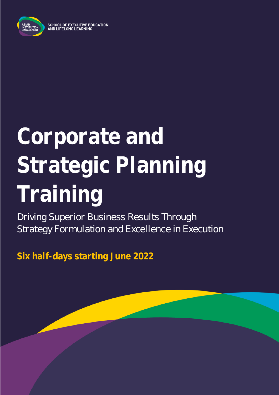

**SCHOOL OF EXECUTIVE EDUCATION** AND LIFELONG LEARNING

# **Corporate and Strategic Planning Training**

Driving Superior Business Results Through Strategy Formulation and Excellence in Execution

**Six half-days starting June 2022**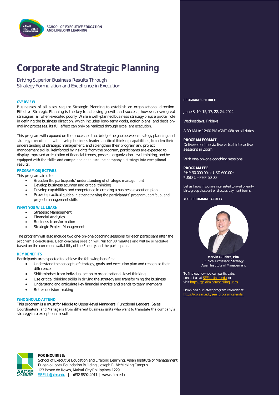## **Corporate and Strategic Planning**

Driving Superior Business Results Through Strategy Formulation and Excellence in Execution

Businesses of all sizes require Strategic Planning to establish an organizational direction. Effective Strategic Planning is the key to achieving growth and success; however, even great strategies fail when executed poorly. While a well-planned business strategy plays a pivotal role in defining the business direction, which includes long-term goals, action plans, and decisionmaking processes, its full effect can only be realized through excellent execution.

This program will expound on the processes that bridge the gap between strategy planning and strategy execution. It will develop business leaders' critical thinking capabilities, broaden their understanding of strategic management, and strengthen their program and project management skills. Reinforced by insights from the program, participants are expected to display improved articulation of financial trends, possess organization-level thinking, and be equipped with the skills and competencies to turn the company's strategy into exceptional results.

#### **PROGRAM OBJECTIVES**

This program aims to:

- Broaden the participants' understanding of strategic management •
- Develop business acumen and critical thinking
- Develop capabilities and competence in creating a business execution plan
- Provide practical guides in strengthening the participants' program, portfolio, and project management skills

#### **WHAT YOU WILL LEARN**

- Strategic Management
- Financial Analytics
- Business transformation
- Strategic Project Management

The program will also include two one-on-one coaching sessions for each participant after the program's conclusion. Each coaching session will run for 30 minutes and will be scheduled based on the common availability of the Faculty and the participant.

#### **KEY BENEFITS**

Participants are expected to achieve the following benefits:

- Understand the concepts of strategy, goals and execution plan and recognize their difference
- Shift mindset from individual action to organizational-level thinking
- Use critical thinking skills in driving the strategy and transforming the business
- Understand and articulate key financial metrics and trends to team members
- Better decision-making

#### **WHO SHOULD ATTEND**

This program is a must for Middle to Upper-level Managers, Functional Leaders, Sales Coordinators, and Managers from different business units who want to translate the company's strategy into exceptional results.



#### **FOR INQUIRIES:**

School of Executive Education and Lifelong Learning, Asian Institute of Management Eugenio Lopez Foundation Building, Joseph R. McMicking Campus 123 Paseo de Roxas, Makati City Philippines 1229 [SEELL@aim.edu](mailto:SEELL@aim.edu) | +632 8892 4011 | www.aim.edu

**OVERVIEW PROGRAM SCHEDULE**

June 8, 10, 15, 17, 22, 24, 2022

Wednesdays, Fridays

8:30 AM to 12:00 PM (GMT+08) on all dates

**PROGRAM FORMAT** Delivered online via live virtual interactive sessions in Zoom

With one-on-one coaching sessions

**PROGRAM FEE** PHP 30,000.00 or USD 600.00\* \*USD 1 = PHP 50.00

Let us know if you are interested to avail of early bird/group discount or discuss payment terms.

**YOUR PROGRAM FACULTY**



**Mervin L. Pobre, PhD** Clinical Professor, Strategy Asian Institute of Management

To find out how you can participate, contact us a[t SEELL@aim.edu](mailto:SEELL@aim.edu) or  $\overline{\text{visit}\text{ https://qo.aim.edu/}}$ 

Download our latest program calendar at https://go.aim.edu/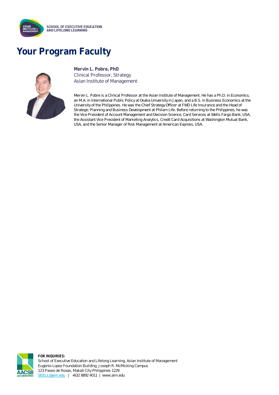

## **Your Program Faculty**



**Mervin L. Pobre, PhD** Clinical Professor, Strategy Asian Institute of Management

Mervin L. Pobre is a Clinical Professor at the Asian Institute of Management. He has a Ph.D. in Economics, an M.A. in International Public Policy at Osaka University in Japan, and a B.S. in Business Economics at the University of the Philippines. He was the Chief Strategy Officer at FWD Life Insurance and the Head of Strategic Planning and Business Development at Philam Life. Before returning to the Philippines, he was the Vice President of Account Management and Decision Science, Card Services at Wells Fargo Bank, USA, the Assistant Vice President of Marketing Analytics, Credit Card Acquisitions at Washington Mutual Bank, USA, and the Senior Manager of Risk Management at American Express, USA.



**FOR INQUIRIES:** School of Executive Education and Lifelong Learning, Asian Institute of Management Eugenio Lopez Foundation Building, Joseph R. McMicking Campus 123 Paseo de Roxas, Makati City Philippines 1229 [SEELL@aim.edu](mailto:SEELL@aim.edu) | +632 8892 4011 | www.aim.edu